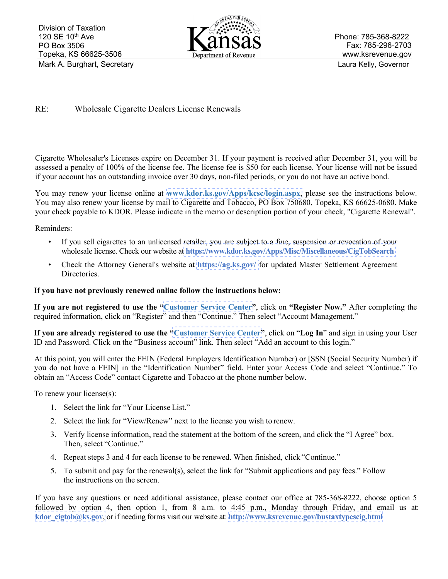

Phone: 785-368-8222 Fax: 785-296-2703 www.ksrevenue.gov

## RE: Wholesale Cigarette Dealers License Renewals

Cigarette Wholesaler's Licenses expire on December 31. If your payment is received after December 31, you will be assessed a penalty of 100% of the license fee. The license fee is \$50 for each license. Your license will not be issued if your account has an outstanding invoice over 30 days, non-filed periods, or you do not have an active bond.

You may renew your license online at **[www.kdor.ks.gov/Apps/kcsc/login.aspx](https://www.kdor.ks.gov/Apps/kcsc/login.aspx)**, please see the instructions below. You may also renew your license by mail to Cigarette and Tobacco, PO Box 750680, Topeka, KS 66625-0680. Make your check payable to KDOR. Please indicate in the memo or description portion of your check, "Cigarette Renewal".

Reminders:

- If you sell cigarettes to an unlicensed retailer, you are subject to a fine, suspension or revocation of your wholesale license. Check our website at **[https://www.kdor.ks.gov/Apps/Misc/Miscellaneous/CigTobSearch](https://www.kdor.ks.gov/Apps/Misc/Miscellaneous/CigToDefault)**
- Check the Attorney General's website at **<https://ag.ks.gov/>** for updated Master Settlement Agreement Directories.

## **If you have not previously renewed online follow the instructions below:**

**If you are not registered to use the ["Customer Service Center"](https://www.kdor.ks.gov/Apps/kcsc/login.aspx)**, click on **"Register Now."** After completing the required information, click on "Register" and then "Continue." Then select "Account Management."

**If you are already registered to use the ["Customer Service Center"](https://www.kdor.ks.gov/Apps/kcsc/login.aspx)**, click on "**Log In**" and sign in using your User ID and Password. Click on the "Business account" link. Then select "Add an account to this login."

At this point, you will enter the FEIN (Federal Employers Identification Number) or [SSN (Social Security Number) if you do not have a FEIN] in the "Identification Number" field. Enter your Access Code and select "Continue." To obtain an "Access Code" contact Cigarette and Tobacco at the phone number below.

To renew your license(s):

- 1. Select the link for "Your License List."
- 2. Select the link for "View/Renew" next to the license you wish to renew.
- 3. Verify license information, read the statement at the bottom of the screen, and click the "I Agree" box. Then, select "Continue."
- 4. Repeat steps 3 and 4 for each license to be renewed. When finished, click "Continue."
- 5. To submit and pay for the renewal(s), select the link for "Submit applications and pay fees." Follow the instructions on the screen.

If you have any questions or need additional assistance, please contact our office at 785-368-8222, choose option 5 followed by option 4, then option 1, from 8 a.m. to 4:45 p.m., Monday through Friday, and email us at: **[kdor\\_cigtob@ks.gov](mailto:kdor_cigtob@ks.gov)**, or if needing forms visit our website at: **[http://www.ksrevenue.](https://www.ksrevenue.org/bustaxtypescig.html)gov/bustaxtypescig.html**